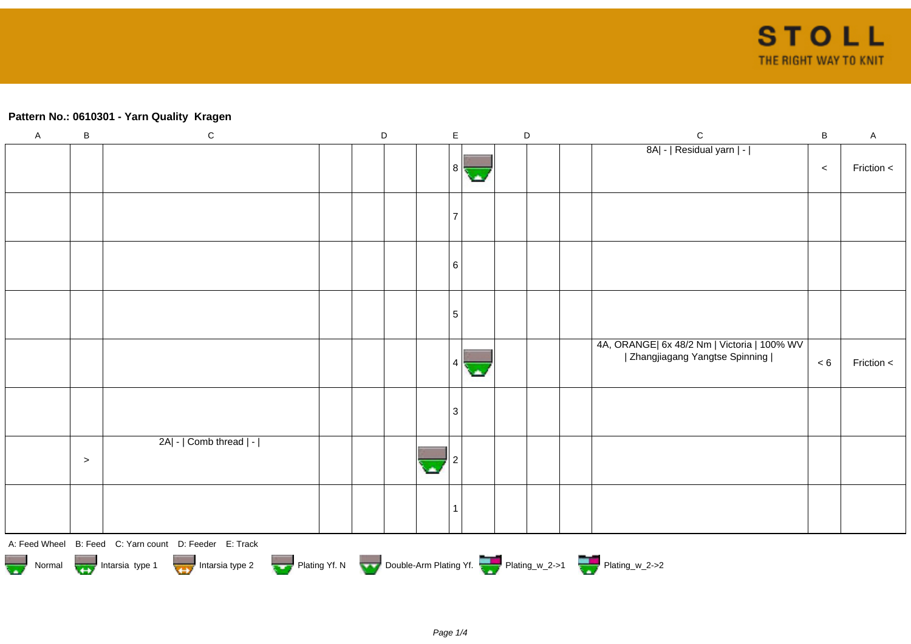## **Pattern No.: 0610301 - Yarn Quality Kragen**

| $\mathsf A$ | $\sf B$                                                                          | $\mathbf C$                                            |  | $\mathsf D$ |  | $\mathsf E$ |    | $\mathsf D$ |  |  | $\mathbf C$                                                                    | $\sf B$ | $\mathsf A$ |
|-------------|----------------------------------------------------------------------------------|--------------------------------------------------------|--|-------------|--|-------------|----|-------------|--|--|--------------------------------------------------------------------------------|---------|-------------|
|             |                                                                                  |                                                        |  |             |  | 8           | ۱Ā |             |  |  | 8A  -   Residual yarn   -                                                      | $\,<$   | Friction <  |
|             |                                                                                  |                                                        |  |             |  |             |    |             |  |  |                                                                                |         |             |
|             |                                                                                  |                                                        |  |             |  | 6           |    |             |  |  |                                                                                |         |             |
|             |                                                                                  |                                                        |  |             |  | $\sqrt{5}$  |    |             |  |  |                                                                                |         |             |
|             |                                                                                  |                                                        |  |             |  | 4           | С. |             |  |  | 4A, ORANGE  6x 48/2 Nm   Victoria   100% WV<br>  Zhangjiagang Yangtse Spinning | $< 6$   | Friction <  |
|             |                                                                                  |                                                        |  |             |  | 3           |    |             |  |  |                                                                                |         |             |
|             | $\geq$                                                                           | 2A  -   Comb thread   -                                |  |             |  |             |    |             |  |  |                                                                                |         |             |
|             |                                                                                  |                                                        |  |             |  | 1           |    |             |  |  |                                                                                |         |             |
|             |                                                                                  | A: Feed Wheel B: Feed C: Yarn count D: Feeder E: Track |  |             |  |             |    |             |  |  |                                                                                |         |             |
|             | Normal More Intarsia type 1 Intarsia type 2 Plating Yf. N Double-Arm Plating Yf. |                                                        |  |             |  |             |    |             |  |  |                                                                                |         |             |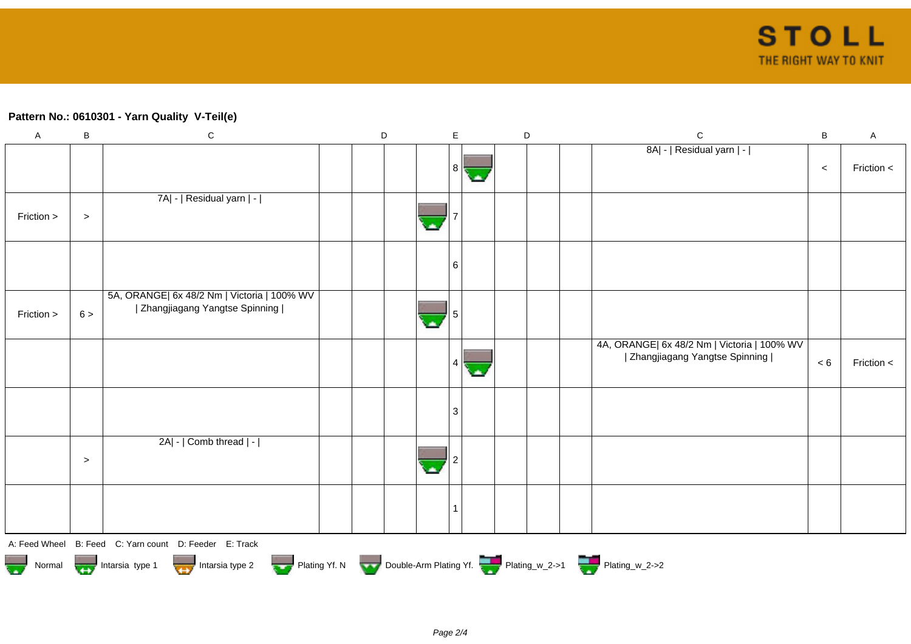## **Pattern No.: 0610301 - Yarn Quality V-Teil(e)**

| $\mathsf A$ | B                                                                                                            | $\mathsf C$                                                                    |  | D |  | $\mathsf E$  |    | D |  |  | ${\bf C}$                                                                      | $\sf B$ | A          |
|-------------|--------------------------------------------------------------------------------------------------------------|--------------------------------------------------------------------------------|--|---|--|--------------|----|---|--|--|--------------------------------------------------------------------------------|---------|------------|
|             |                                                                                                              |                                                                                |  |   |  | 8            | ۱A |   |  |  | 8A  -   Residual yarn   -                                                      | $\,<$   | Friction < |
| Friction >  | $\, > \,$                                                                                                    | 7A  -   Residual yarn   -                                                      |  |   |  |              |    |   |  |  |                                                                                |         |            |
|             |                                                                                                              |                                                                                |  |   |  | 6            |    |   |  |  |                                                                                |         |            |
| Friction >  | 6 >                                                                                                          | 5A, ORANGE  6x 48/2 Nm   Victoria   100% WV<br>  Zhangjiagang Yangtse Spinning |  |   |  |              |    |   |  |  |                                                                                |         |            |
|             |                                                                                                              |                                                                                |  |   |  | 4            | o. |   |  |  | 4A, ORANGE  6x 48/2 Nm   Victoria   100% WV<br>  Zhangjiagang Yangtse Spinning | $< 6$   | Friction < |
|             |                                                                                                              |                                                                                |  |   |  | $\mathbf{3}$ |    |   |  |  |                                                                                |         |            |
|             | $\geq$                                                                                                       | 2A  -   Comb thread   -                                                        |  |   |  |              |    |   |  |  |                                                                                |         |            |
|             |                                                                                                              |                                                                                |  |   |  | -1           |    |   |  |  |                                                                                |         |            |
|             |                                                                                                              | A: Feed Wheel B: Feed C: Yarn count D: Feeder E: Track                         |  |   |  |              |    |   |  |  |                                                                                |         |            |
|             | Plating Yf. N Double-Arm Plating Yf. Plating W_2->1 Plating W_2->2<br>Normal Intarsia type 1 Intarsia type 2 |                                                                                |  |   |  |              |    |   |  |  |                                                                                |         |            |





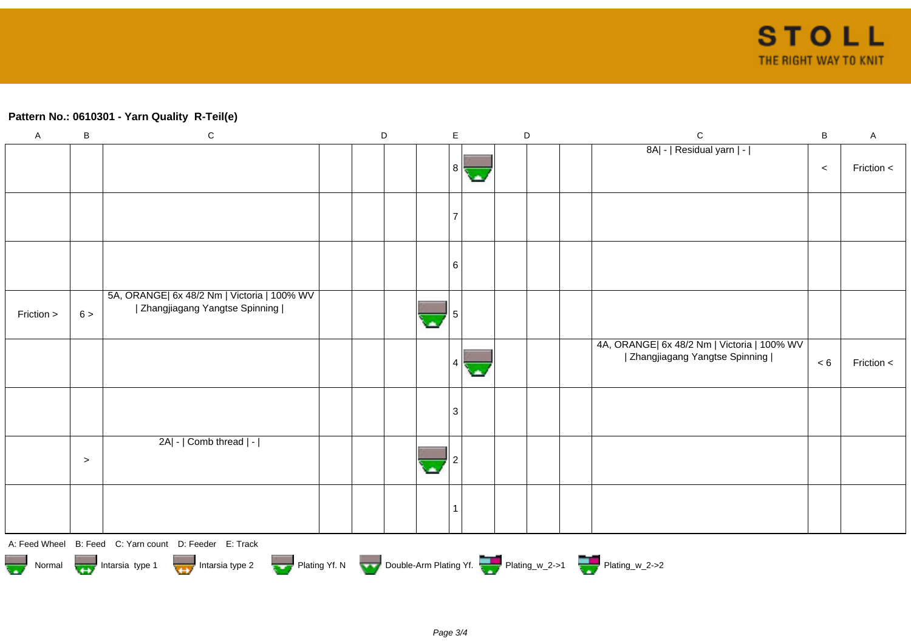## **Pattern No.: 0610301 - Yarn Quality R-Teil(e)**

| $\mathsf A$             | B                                                                                                                          | ${\bf C}$                                                                      |  | $\mathsf D$ |  |  | $\mathsf E$               |    |  | D |  | $\mathsf C$                                                                    | $\, {\bf B}$ | $\mathsf{A}$ |
|-------------------------|----------------------------------------------------------------------------------------------------------------------------|--------------------------------------------------------------------------------|--|-------------|--|--|---------------------------|----|--|---|--|--------------------------------------------------------------------------------|--------------|--------------|
|                         |                                                                                                                            |                                                                                |  |             |  |  | 8 <sup>1</sup>            | С. |  |   |  | 8A  -   Residual yarn   -                                                      | $\,<$        | Friction <   |
|                         |                                                                                                                            |                                                                                |  |             |  |  | 7                         |    |  |   |  |                                                                                |              |              |
|                         |                                                                                                                            |                                                                                |  |             |  |  | 6                         |    |  |   |  |                                                                                |              |              |
| Friction >              | 6 >                                                                                                                        | 5A, ORANGE  6x 48/2 Nm   Victoria   100% WV<br>  Zhangjiagang Yangtse Spinning |  |             |  |  |                           |    |  |   |  |                                                                                |              |              |
|                         |                                                                                                                            |                                                                                |  |             |  |  | 4                         | ч. |  |   |  | 4A, ORANGE  6x 48/2 Nm   Victoria   100% WV<br>  Zhangjiagang Yangtse Spinning | < 6          | Friction <   |
|                         |                                                                                                                            |                                                                                |  |             |  |  | $\ensuremath{\mathsf{3}}$ |    |  |   |  |                                                                                |              |              |
|                         | $\,>$                                                                                                                      | 2A  -   Comb thread   -                                                        |  |             |  |  |                           |    |  |   |  |                                                                                |              |              |
|                         |                                                                                                                            |                                                                                |  |             |  |  | $\overline{\phantom{a}}$  |    |  |   |  |                                                                                |              |              |
|                         |                                                                                                                            | A: Feed Wheel B: Feed C: Yarn count D: Feeder E: Track                         |  |             |  |  |                           |    |  |   |  |                                                                                |              |              |
| $\overline{\mathbf{w}}$ | Plating Yf. N Double-Arm Plating Yf. Plating_w_2->1 Plating_w_2->2<br>Intarsia type 2<br>Normal <b>The Intarsia type 1</b> |                                                                                |  |             |  |  |                           |    |  |   |  |                                                                                |              |              |